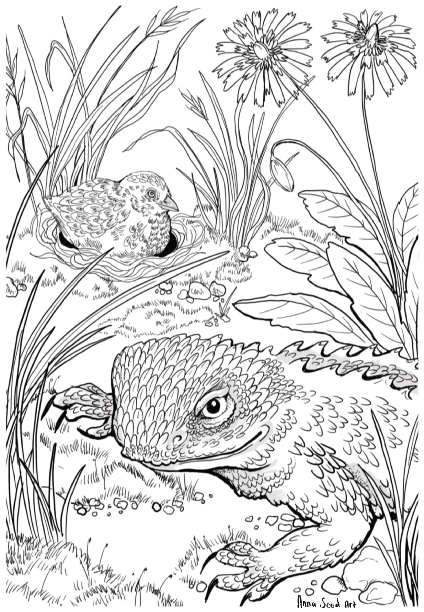